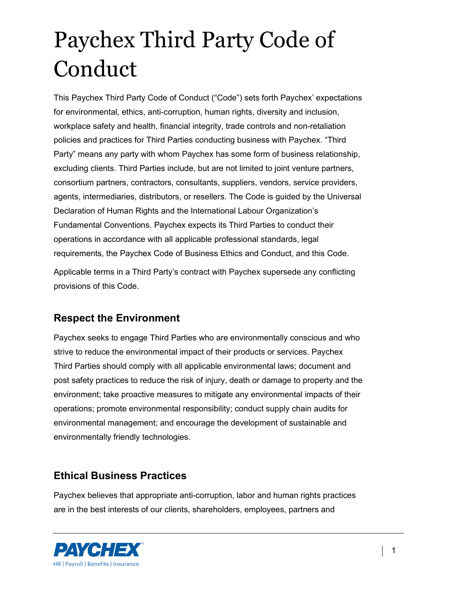This Paychex Third Party Code of Conduct ("Code") sets forth Paychex' expectations for environmental, ethics, anti-corruption, human rights, diversity and inclusion, workplace safety and health, financial integrity, trade controls and non-retaliation policies and practices for Third Parties conducting business with Paychex. "Third Party" means any party with whom Paychex has some form of business relationship, excluding clients. Third Parties include, but are not limited to joint venture partners, consortium partners, contractors, consultants, suppliers, vendors, service providers, agents, intermediaries, distributors, or resellers. The Code is guided by the Universal Declaration of Human Rights and the International Labour Organization's Fundamental Conventions. Paychex expects its Third Parties to conduct their operations in accordance with all applicable professional standards, legal requirements, the Paychex Code of Business Ethics and Conduct, and this Code.

Applicable terms in a Third Party's contract with Paychex supersede any conflicting provisions of this Code.

#### **Respect the Environment**

Paychex seeks to engage Third Parties who are environmentally conscious and who strive to reduce the environmental impact of their products or services. Paychex Third Parties should comply with all applicable environmental laws; document and post safety practices to reduce the risk of injury, death or damage to property and the environment; take proactive measures to mitigate any environmental impacts of their operations; promote environmental responsibility; conduct supply chain audits for environmental management; and encourage the development of sustainable and environmentally friendly technologies.

#### **Ethical Business Practices**

Paychex believes that appropriate anti-corruption, labor and human rights practices are in the best interests of our clients, shareholders, employees, partners and

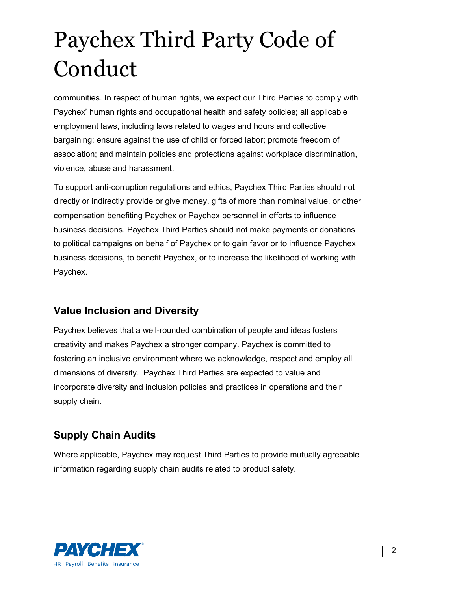communities. In respect of human rights, we expect our Third Parties to comply with Paychex' human rights and occupational health and safety policies; all applicable employment laws, including laws related to wages and hours and collective bargaining; ensure against the use of child or forced labor; promote freedom of association; and maintain policies and protections against workplace discrimination, violence, abuse and harassment.

To support anti-corruption regulations and ethics, Paychex Third Parties should not directly or indirectly provide or give money, gifts of more than nominal value, or other compensation benefiting Paychex or Paychex personnel in efforts to influence business decisions. Paychex Third Parties should not make payments or donations to political campaigns on behalf of Paychex or to gain favor or to influence Paychex business decisions, to benefit Paychex, or to increase the likelihood of working with Paychex.

#### **Value Inclusion and Diversity**

Paychex believes that a well-rounded combination of people and ideas fosters creativity and makes Paychex a stronger company. Paychex is committed to fostering an inclusive environment where we acknowledge, respect and employ all dimensions of diversity. Paychex Third Parties are expected to value and incorporate diversity and inclusion policies and practices in operations and their supply chain.

### **Supply Chain Audits**

Where applicable, Paychex may request Third Parties to provide mutually agreeable information regarding supply chain audits related to product safety.

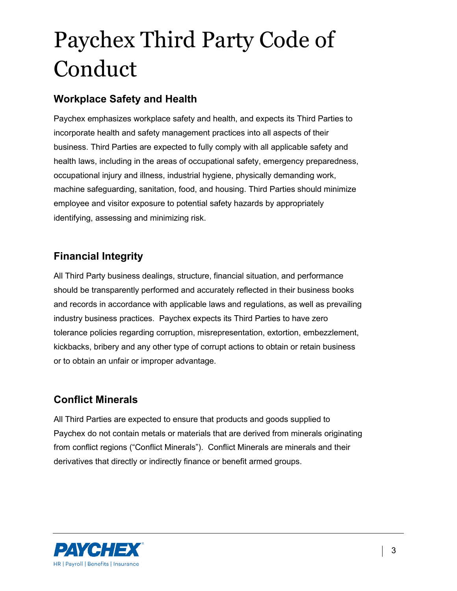#### **Workplace Safety and Health**

Paychex emphasizes workplace safety and health, and expects its Third Parties to incorporate health and safety management practices into all aspects of their business. Third Parties are expected to fully comply with all applicable safety and health laws, including in the areas of occupational safety, emergency preparedness, occupational injury and illness, industrial hygiene, physically demanding work, machine safeguarding, sanitation, food, and housing. Third Parties should minimize employee and visitor exposure to potential safety hazards by appropriately identifying, assessing and minimizing risk.

### **Financial Integrity**

All Third Party business dealings, structure, financial situation, and performance should be transparently performed and accurately reflected in their business books and records in accordance with applicable laws and regulations, as well as prevailing industry business practices. Paychex expects its Third Parties to have zero tolerance policies regarding corruption, misrepresentation, extortion, embezzlement, kickbacks, bribery and any other type of corrupt actions to obtain or retain business or to obtain an unfair or improper advantage.

### **Conflict Minerals**

All Third Parties are expected to ensure that products and goods supplied to Paychex do not contain metals or materials that are derived from minerals originating from conflict regions ("Conflict Minerals"). Conflict Minerals are minerals and their derivatives that directly or indirectly finance or benefit armed groups.